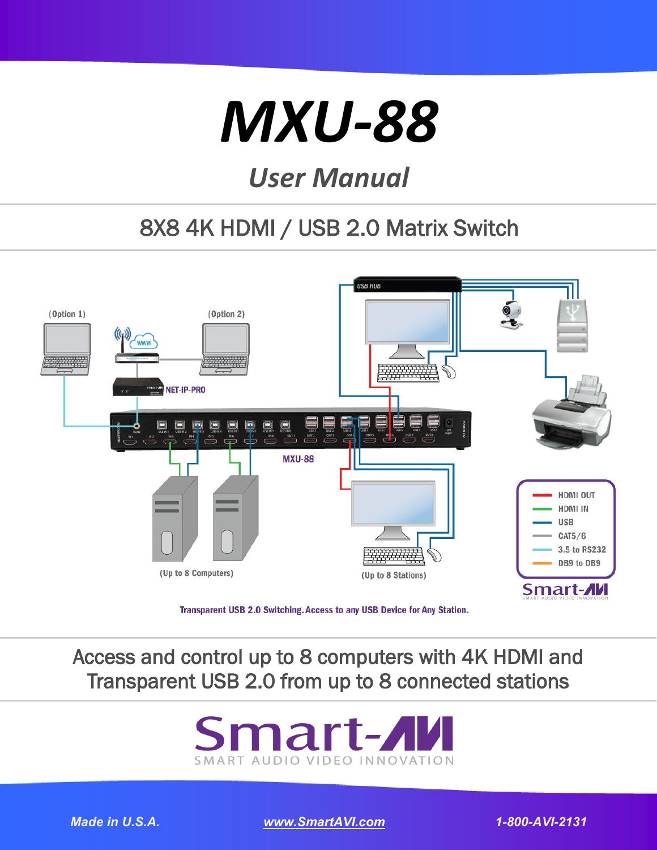# *[MXU-88](http://smartavi.com/products/kvm-solutions/kvm-matrix/mxu-88.html)*

# *User Manual*

## 8X8 4K HDMI / USB 2.0 Matrix Switch



## Access and control up to 8 computers with 4K HDMI and Transparent USB 2.0 from up to 8 connected stations



*Made in U.S.A. [www.SmartAVI.com](http://smartavi.com)* 1 *1-800-AVI-2131*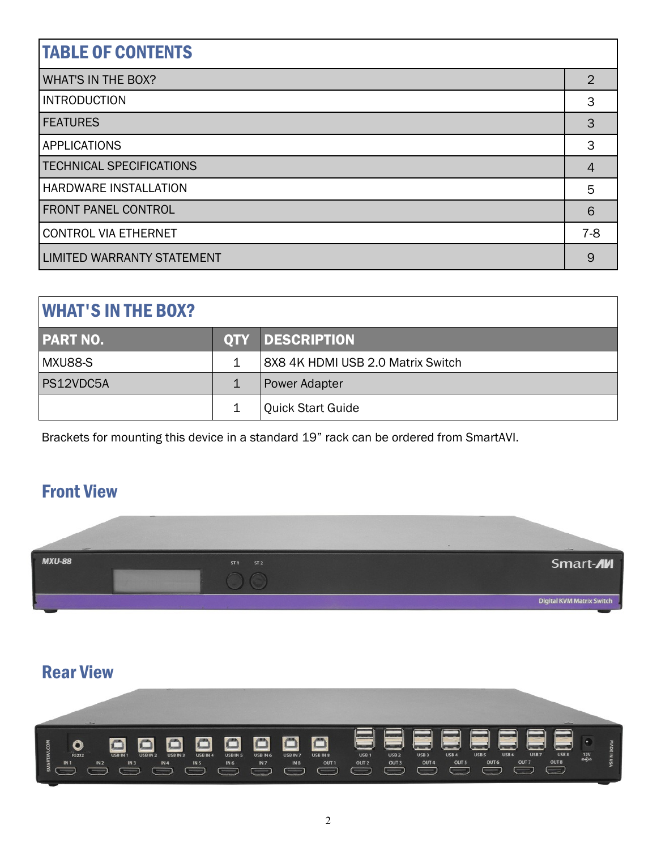| <b>TABLE OF CONTENTS</b>          |                |  |
|-----------------------------------|----------------|--|
| <b>WHAT'S IN THE BOX?</b>         | $\overline{2}$ |  |
| <b>INTRODUCTION</b>               | 3              |  |
| <b>FEATURES</b>                   | 3              |  |
| <b>APPLICATIONS</b>               | 3              |  |
| <b>TECHNICAL SPECIFICATIONS</b>   | 4              |  |
| HARDWARE INSTALLATION             | 5              |  |
| <b>FRONT PANEL CONTROL</b>        | 6              |  |
| <b>CONTROL VIA ETHERNET</b>       | $7-8$          |  |
| <b>LIMITED WARRANTY STATEMENT</b> | 9              |  |

| <b>WHAT'S IN THE BOX?</b> |   |                                   |  |  |
|---------------------------|---|-----------------------------------|--|--|
| <b>PART NO.</b>           |   | <b>QTY DESCRIPTION</b>            |  |  |
| MXU88-S                   | 1 | 8X8 4K HDMI USB 2.0 Matrix Switch |  |  |
| PS12VDC5A                 | 1 | <b>Power Adapter</b>              |  |  |
|                           |   | <b>Quick Start Guide</b>          |  |  |

Brackets for mounting this device in a standard 19" rack can be ordered from SmartAVI.

## Front View



## [Rear View](http://smartavi.com/products/kvm-solutions/kvm-matrix/mxu-88.html)

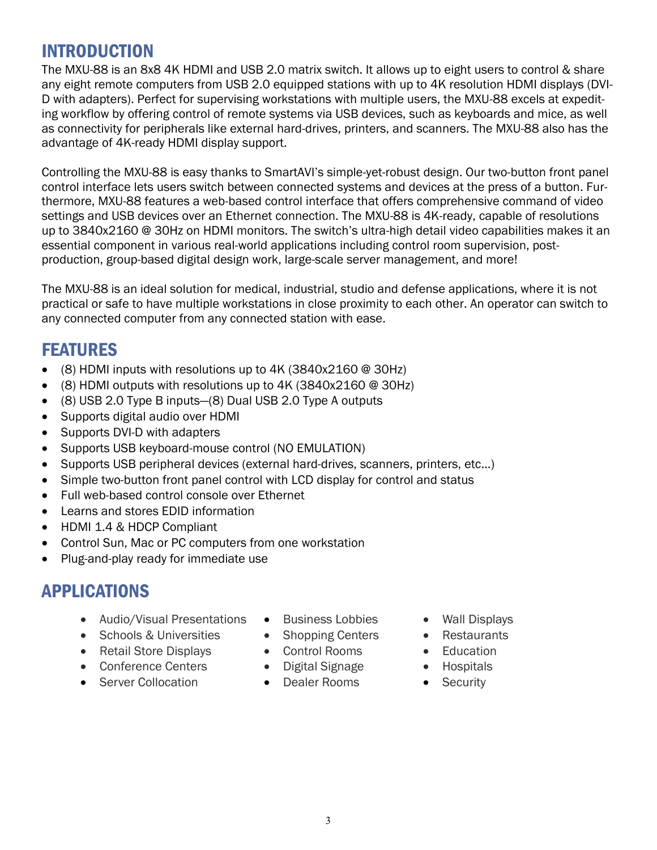## INTRODUCTION

The MXU-88 is an 8x8 4K HDMI and USB 2.0 matrix switch. It allows up to eight users to control & share any eight remote computers from USB 2.0 equipped stations with up to 4K resolution HDMI displays (DVI-D with adapters). Perfect for supervising workstations with multiple users, the MXU-88 excels at expediting workflow by offering control of remote systems via USB devices, such as keyboards and mice, as well as connectivity for peripherals like external hard-drives, printers, and scanners. The MXU-88 also has the advantage of 4K-ready HDMI display support.

Controlling the MXU-88 is easy thanks to SmartAVI's simple-yet-robust design. Our two-button front panel control interface lets users switch between connected systems and devices at the press of a button. Furthermore, MXU-88 features a web-based control interface that offers comprehensive command of video settings and USB devices over an Ethernet connection. The MXU-88 is 4K-ready, capable of resolutions up to 3840x2160 @ 30Hz on HDMI monitors. The switch's ultra-high detail video capabilities makes it an essential component in various real-world applications including control room supervision, postproduction, group-based digital design work, large-scale server management, and more!

The MXU-88 is an ideal solution for medical, industrial, studio and defense applications, where it is not practical or safe to have multiple workstations in close proximity to each other. An operator can switch to any connected computer from any connected station with ease.

## FEATURES

- (8) HDMI inputs with resolutions up to 4K (3840x2160 @ 30Hz)
- (8) HDMI outputs with resolutions up to 4K (3840x2160 @ 30Hz)
- (8) USB 2.0 Type B inputs—(8) Dual USB 2.0 Type A outputs
- Supports digital audio over HDMI
- Supports DVI-D with adapters
- Supports USB keyboard-mouse control (NO EMULATION)
- Supports USB peripheral devices (external hard-drives, scanners, printers, etc...)
- Simple two-button front panel control with LCD display for control and status
- Full web-based control console over Ethernet
- Learns and stores EDID information
- HDMI 1.4 & HDCP Compliant
- Control Sun, Mac or PC computers from one workstation
- Plug-and-play ready for immediate use

## APPLICATIONS

- Audio/Visual Presentations
- Schools & Universities
- Retail Store Displays
- Conference Centers
- Server Collocation
- Business Lobbies
- Shopping Centers
- Control Rooms
- Digital Signage
- Dealer Rooms
- Wall Displays
- Restaurants
- Education
- Hospitals
- **Security**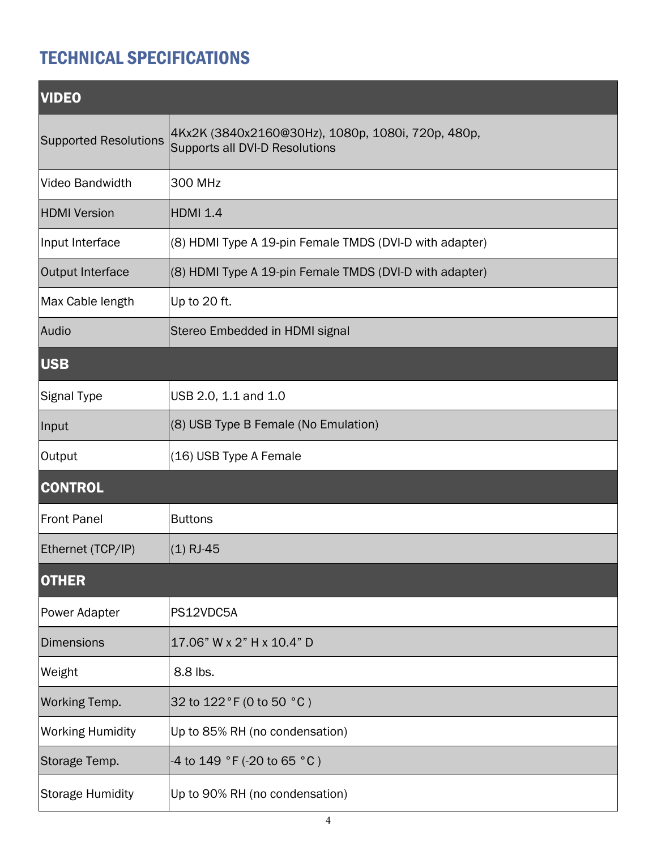## TECHNICAL SPECIFICATIONS

| <b>VIDEO</b>                 |                                                                                     |  |  |  |
|------------------------------|-------------------------------------------------------------------------------------|--|--|--|
| <b>Supported Resolutions</b> | 4Kx2K (3840x2160@30Hz), 1080p, 1080i, 720p, 480p,<br>Supports all DVI-D Resolutions |  |  |  |
| <b>Video Bandwidth</b>       | <b>300 MHz</b>                                                                      |  |  |  |
| <b>HDMI</b> Version          | HDMI 1.4                                                                            |  |  |  |
| Input Interface              | (8) HDMI Type A 19-pin Female TMDS (DVI-D with adapter)                             |  |  |  |
| Output Interface             | (8) HDMI Type A 19-pin Female TMDS (DVI-D with adapter)                             |  |  |  |
| Max Cable length             | Up to 20 ft.                                                                        |  |  |  |
| Audio                        | Stereo Embedded in HDMI signal                                                      |  |  |  |
| <b>USB</b>                   |                                                                                     |  |  |  |
| <b>Signal Type</b>           | USB 2.0, 1.1 and 1.0                                                                |  |  |  |
| Input                        | (8) USB Type B Female (No Emulation)                                                |  |  |  |
| Output                       | (16) USB Type A Female                                                              |  |  |  |
| <b>CONTROL</b>               |                                                                                     |  |  |  |
| <b>Front Panel</b>           | <b>Buttons</b>                                                                      |  |  |  |
| Ethernet (TCP/IP)            | (1) RJ-45                                                                           |  |  |  |
| <b>OTHER</b>                 |                                                                                     |  |  |  |
| <b>Power Adapter</b>         | PS12VDC5A                                                                           |  |  |  |
| <b>Dimensions</b>            | 17.06" W x 2" H x 10.4" D                                                           |  |  |  |
| Weight                       | 8.8 lbs.                                                                            |  |  |  |
| <b>Working Temp.</b>         | 32 to 122 °F (0 to 50 °C)                                                           |  |  |  |
| <b>Working Humidity</b>      | Up to 85% RH (no condensation)                                                      |  |  |  |
| Storage Temp.                | -4 to 149 °F (-20 to 65 °C)                                                         |  |  |  |
| <b>Storage Humidity</b>      | Up to 90% RH (no condensation)                                                      |  |  |  |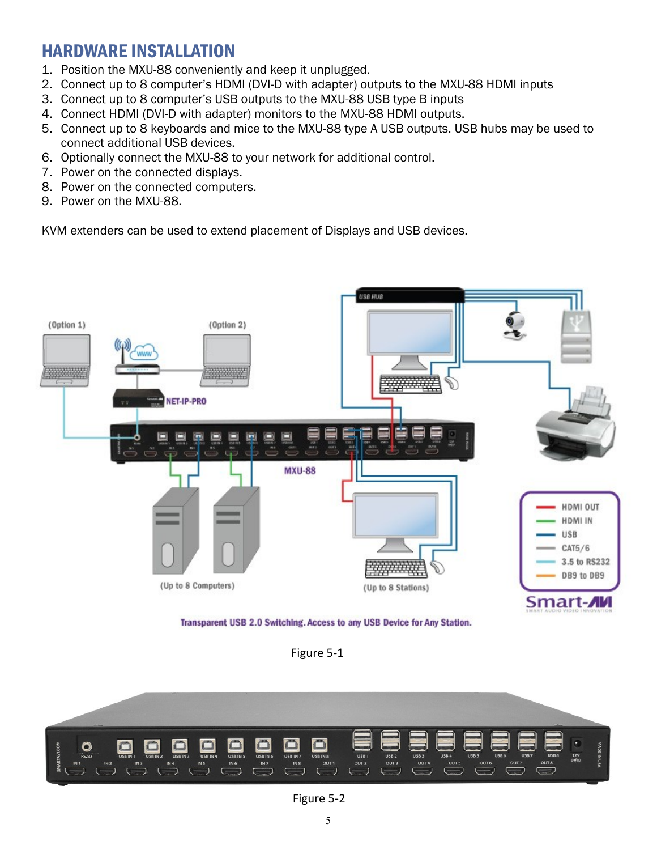## HARDWARE INSTALLATION

- 1. Position the MXU-88 conveniently and keep it unplugged.
- 2. Connect up to 8 computer's HDMI (DVI-D with adapter) outputs to the MXU-88 HDMI inputs
- 3. Connect up to 8 computer's USB outputs to the MXU-88 USB type B inputs
- 4. Connect HDMI (DVI-D with adapter) monitors to the MXU-88 HDMI outputs.
- 5. Connect up to 8 keyboards and mice to the MXU-88 type A USB outputs. USB hubs may be used to connect additional USB devices.
- 6. Optionally connect the MXU-88 to your network for additional control.
- 7. Power on the connected displays.
- 8. Power on the connected computers.
- 9. Power on the MXU-88.

KVM extenders can be used to extend placement of Displays and USB devices.



Transparent USB 2.0 Switching. Access to any USB Device for Any Station.

Figure 5-1



Figure 5-2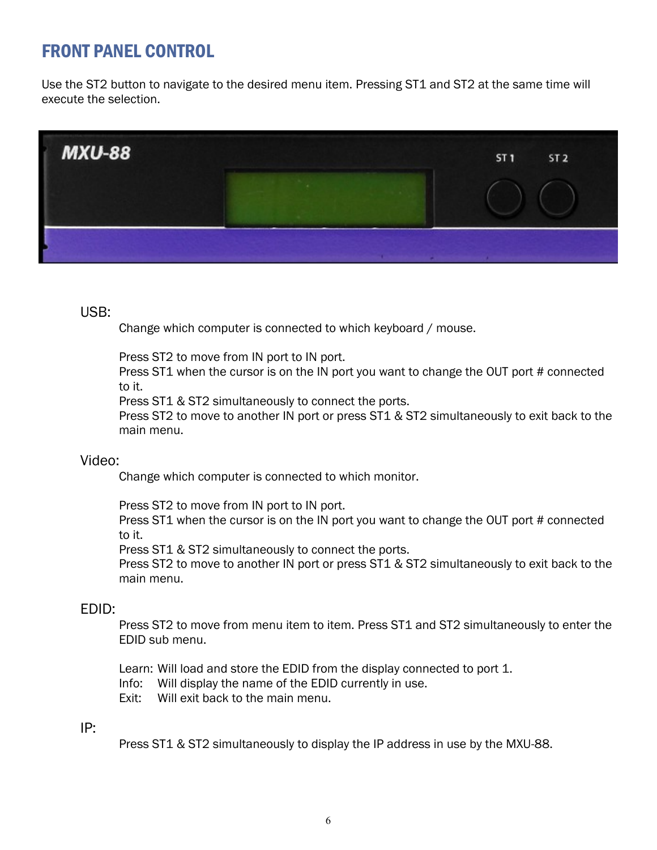## FRONT PANEL CONTROL

Use the ST2 button to navigate to the desired menu item. Pressing ST1 and ST2 at the same time will execute the selection.



#### USB:

Change which computer is connected to which keyboard / mouse.

Press ST2 to move from IN port to IN port.

Press ST1 when the cursor is on the IN port you want to change the OUT port # connected to it.

Press ST1 & ST2 simultaneously to connect the ports.

Press ST2 to move to another IN port or press ST1 & ST2 simultaneously to exit back to the main menu.

#### Video:

Change which computer is connected to which monitor.

Press ST2 to move from IN port to IN port.

Press ST1 when the cursor is on the IN port you want to change the OUT port # connected to it.

Press ST1 & ST2 simultaneously to connect the ports.

Press ST2 to move to another IN port or press ST1 & ST2 simultaneously to exit back to the main menu.

#### EDID:

Press ST2 to move from menu item to item. Press ST1 and ST2 simultaneously to enter the EDID sub menu.

Learn: Will load and store the EDID from the display connected to port 1.

Info: Will display the name of the EDID currently in use.

Exit: Will exit back to the main menu.

#### IP:

Press ST1 & ST2 simultaneously to display the IP address in use by the MXU-88.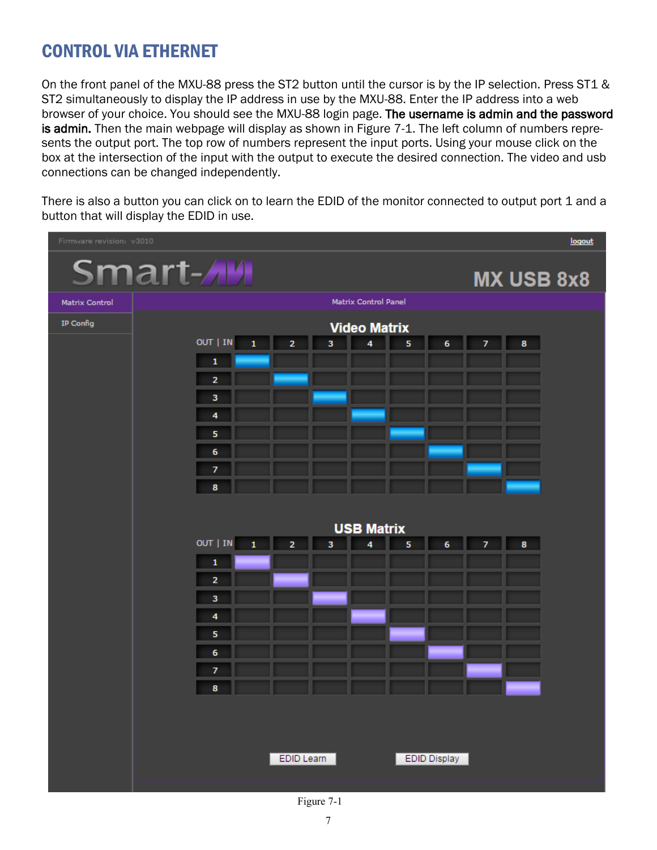## CONTROL VIA ETHERNET

On the front panel of the MXU-88 press the ST2 button until the cursor is by the IP selection. Press ST1 & ST2 simultaneously to display the IP address in use by the MXU-88. Enter the IP address into a web browser of your choice. You should see the MXU-88 login page. The username is admin and the password is admin. Then the main webpage will display as shown in Figure 7-1. The left column of numbers represents the output port. The top row of numbers represent the input ports. Using your mouse click on the box at the intersection of the input with the output to execute the desired connection. The video and usb connections can be changed independently.

There is also a button you can click on to learn the EDID of the monitor connected to output port 1 and a button that will display the EDID in use.



Figure 7-1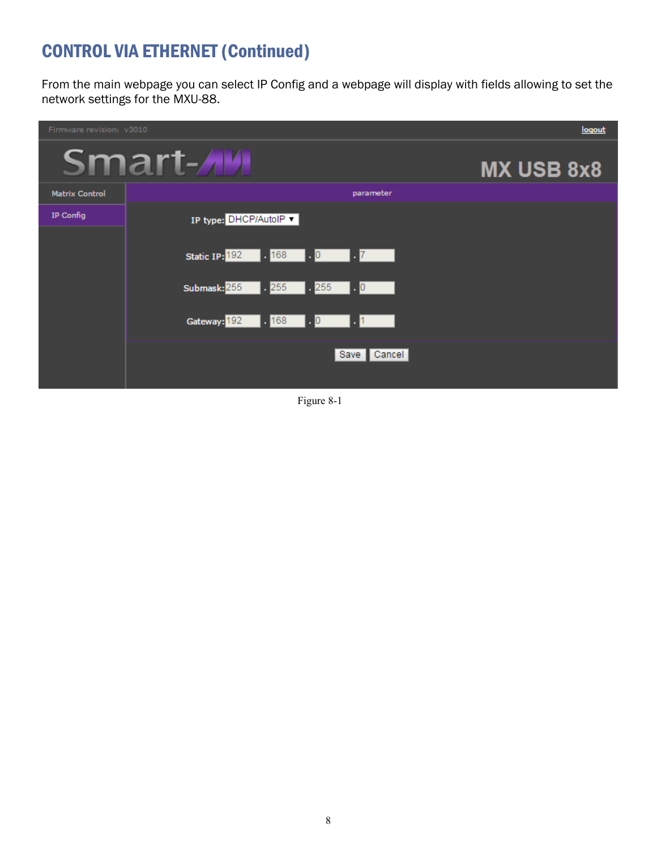## CONTROL VIA ETHERNET (Continued)

From the main webpage you can select IP Config and a webpage will display with fields allowing to set the network settings for the MXU-88.

| Firmware revision: v3010 |                                                    | logout     |
|--------------------------|----------------------------------------------------|------------|
|                          | Smart- <b>AM</b>                                   | MX USB 8x8 |
| <b>Matrix Control</b>    | parameter                                          |            |
| IP Config                | IP type: DHCP/AutoIP ▼                             |            |
|                          |                                                    |            |
|                          | Static IP: <sup>192</sup> . <sup>168</sup> . 0 . 7 |            |
|                          | Submask: 255 . 255 . 255 . 0                       |            |
|                          | Gateway: <mark>192   168   0   1</mark>   1        |            |
|                          | Save Cancel                                        |            |

Figure 8-1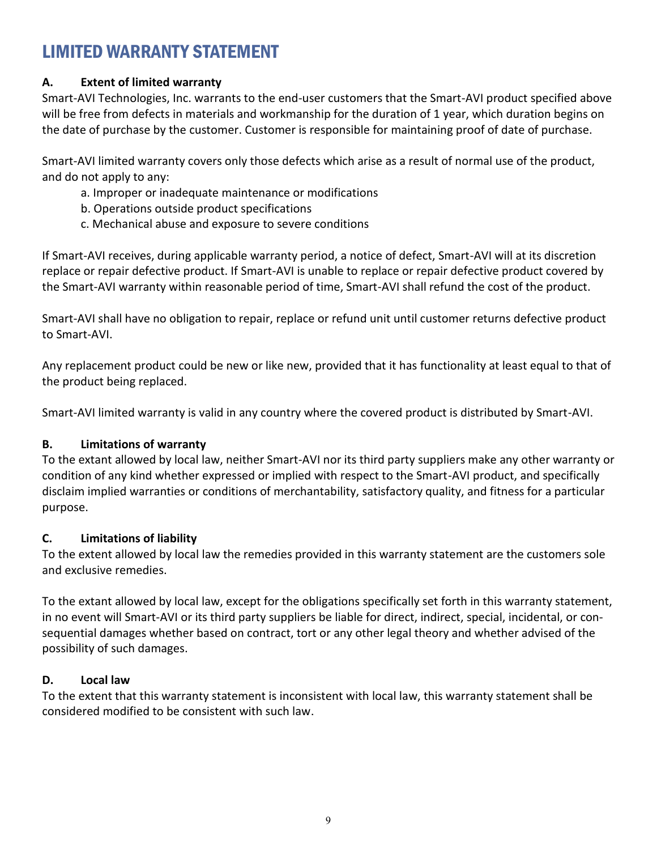## LIMITED WARRANTY STATEMENT

#### **A. Extent of limited warranty**

Smart-AVI Technologies, Inc. warrants to the end-user customers that the Smart-AVI product specified above will be free from defects in materials and workmanship for the duration of 1 year, which duration begins on the date of purchase by the customer. Customer is responsible for maintaining proof of date of purchase.

Smart-AVI limited warranty covers only those defects which arise as a result of normal use of the product, and do not apply to any:

- a. Improper or inadequate maintenance or modifications
- b. Operations outside product specifications
- c. Mechanical abuse and exposure to severe conditions

If Smart-AVI receives, during applicable warranty period, a notice of defect, Smart-AVI will at its discretion replace or repair defective product. If Smart-AVI is unable to replace or repair defective product covered by the Smart-AVI warranty within reasonable period of time, Smart-AVI shall refund the cost of the product.

Smart-AVI shall have no obligation to repair, replace or refund unit until customer returns defective product to Smart-AVI.

Any replacement product could be new or like new, provided that it has functionality at least equal to that of the product being replaced.

Smart-AVI limited warranty is valid in any country where the covered product is distributed by Smart-AVI.

#### **B. Limitations of warranty**

To the extant allowed by local law, neither Smart-AVI nor its third party suppliers make any other warranty or condition of any kind whether expressed or implied with respect to the Smart-AVI product, and specifically disclaim implied warranties or conditions of merchantability, satisfactory quality, and fitness for a particular purpose.

#### **C. Limitations of liability**

To the extent allowed by local law the remedies provided in this warranty statement are the customers sole and exclusive remedies.

To the extant allowed by local law, except for the obligations specifically set forth in this warranty statement, in no event will Smart-AVI or its third party suppliers be liable for direct, indirect, special, incidental, or consequential damages whether based on contract, tort or any other legal theory and whether advised of the possibility of such damages.

#### **D. Local law**

To the extent that this warranty statement is inconsistent with local law, this warranty statement shall be considered modified to be consistent with such law.